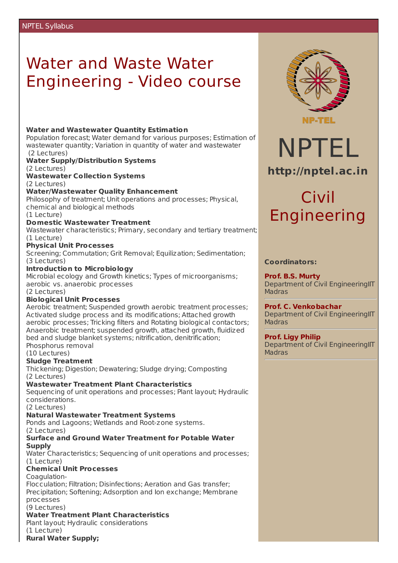# Water and Waste Water Engineering - Video course

#### **Water and Wastewater Quantity Estimation**

Population forecast; Water demand for various purposes; Estimation of wastewater quantity; Variation in quantity of water and wastewater (2 Lectures)

#### **Water Supply/Distribution Systems**

(2 Lectures)

**Wastewater Collection Systems**

(2 Lectures)

#### **Water/Wastewater Quality Enhancement**

Philosophy of treatment; Unit operations and processes; Physical, chemical and biological methods

(1 Lecture)

#### **Domestic Wastewater Treatment**

Wastewater characteristics; Primary, secondary and tertiary treatment; (1 Lecture)

#### **Physical Unit Processes**

Screening; Commutation; Grit Removal; Equilization; Sedimentation; (3 Lectures)

#### **Introduction to Microbiology**

Microbial ecology and Growth kinetics; Types of microorganisms; aerobic vs. anaerobic processes

#### (2 Lectures)

#### **Biological Unit Processes**

Aerobic treatment; Suspended growth aerobic treatment processes; Activated sludge process and its modifications; Attached growth aerobic processes; Tricking filters and Rotating biological contactors; Anaerobic treatment; suspended growth, attached growth, fluidized bed and sludge blanket systems; nitrification, denitrification; Phosphorus removal

(10 Lectures)

#### **Sludge Treatment**

Thickening; Digestion; Dewatering; Sludge drying; Composting (2 Lectures)

#### **Wastewater Treatment Plant Characteristics**

Sequencing of unit operations and processes; Plant layout; Hydraulic considerations.

(2 Lectures)

#### **Natural Wastewater Treatment Systems**

Ponds and Lagoons; Wetlands and Root-zone systems. (2 Lectures)

#### **Surface and Ground Water Treatment for Potable Water Supply**

Water Characteristics; Sequencing of unit operations and processes; (1 Lecture)

# **Chemical Unit Processes**

Coagulation-

Flocculation; Filtration; Disinfections; Aeration and Gas transfer; Precipitation; Softening; Adsorption and Ion exchange; Membrane processes

(9 Lectures)

### **Water Treatment Plant Characteristics**

Plant layout; Hydraulic considerations

(1 Lecture)

**Rural Water Supply;**



NPTEL

**http://nptel.ac.in**

# Civil Engineering

### **Coordinators:**

**Prof. B.S. Murty** Department of Civil EngineeringIIT **Madras** 

## **Prof. C. Venkobachar**

Department of Civil EngineeringIIT Madras

# **Prof. Ligy Philip**

Department of Civil EngineeringIIT **Madras**